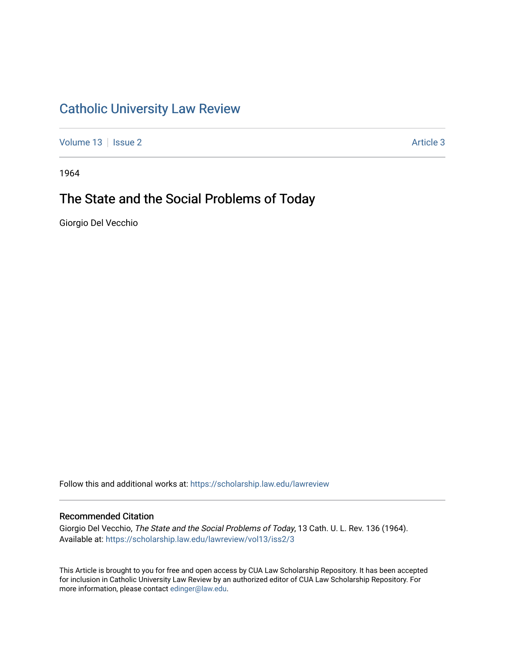# [Catholic University Law Review](https://scholarship.law.edu/lawreview)

[Volume 13](https://scholarship.law.edu/lawreview/vol13) | [Issue 2](https://scholarship.law.edu/lawreview/vol13/iss2) Article 3

1964

# The State and the Social Problems of Today

Giorgio Del Vecchio

Follow this and additional works at: [https://scholarship.law.edu/lawreview](https://scholarship.law.edu/lawreview?utm_source=scholarship.law.edu%2Flawreview%2Fvol13%2Fiss2%2F3&utm_medium=PDF&utm_campaign=PDFCoverPages)

## Recommended Citation

Giorgio Del Vecchio, The State and the Social Problems of Today, 13 Cath. U. L. Rev. 136 (1964). Available at: [https://scholarship.law.edu/lawreview/vol13/iss2/3](https://scholarship.law.edu/lawreview/vol13/iss2/3?utm_source=scholarship.law.edu%2Flawreview%2Fvol13%2Fiss2%2F3&utm_medium=PDF&utm_campaign=PDFCoverPages)

This Article is brought to you for free and open access by CUA Law Scholarship Repository. It has been accepted for inclusion in Catholic University Law Review by an authorized editor of CUA Law Scholarship Repository. For more information, please contact [edinger@law.edu.](mailto:edinger@law.edu)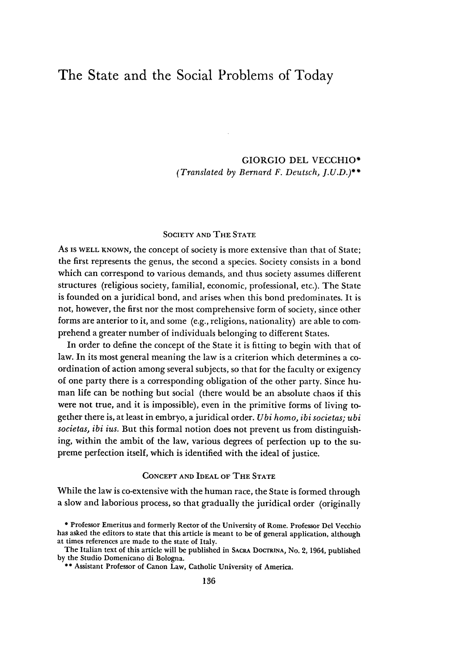# The State and the Social Problems of Today

GIORGIO **DEL VECCHIO\*** *(Translated by Bernard F. Deutsch, J.U.D.)\*\**

## SOCIETY **AND** THE **STATE**

As IS WELL KNOWN, the concept of society is more extensive than that of State; the first represents the genus, the second a species. Society consists in a bond which can correspond to various demands, and thus society assumes different structures (religious society, familial, economic, professional, etc.). The State is founded on a juridical bond, and arises when this bond predominates. It is not, however, the first nor the most comprehensive form of society, since other forms are anterior to it, and some (e.g., religions, nationality) are able to comprehend a greater number of individuals belonging to different States.

In order to define the concept of the State it is fitting to begin with that of law. In its most general meaning the law is a criterion which determines a coordination of action among several subjects, so that for the faculty or exigency of one party there is a corresponding obligation of the other party. Since human life can be nothing but social (there would be an absolute chaos if this were not true, and it is impossible), even in the primitive forms of living together there is, at least in embryo, a juridical order. *Ubi homo, ibi societas; ubi societas, ibi ius.* But this formal notion does not prevent us from distinguishing, within the ambit of the law, various degrees of perfection up to the supreme perfection itself, which is identified with the ideal of justice.

#### CONCEPT AND IDEAL OF THE STATE

While the law is co-extensive with the human race, the State is formed through a slow and laborious process, so that gradually the juridical order (originally

**<sup>\*</sup>** Professor Emeritus and formerly Rector of the University of Rome. Professor Del Vecchio has asked the editors to state that this article is meant to be of general application, although at times references are made to the state of Italy.

The Italian text of this article will be published in **SACRA DOCTRINA,** No. 2, 1964, published **by** the Studio Domenicano di Bologna.

**<sup>\*\*</sup>** Assistant Professor of Canon Law, Catholic University of America.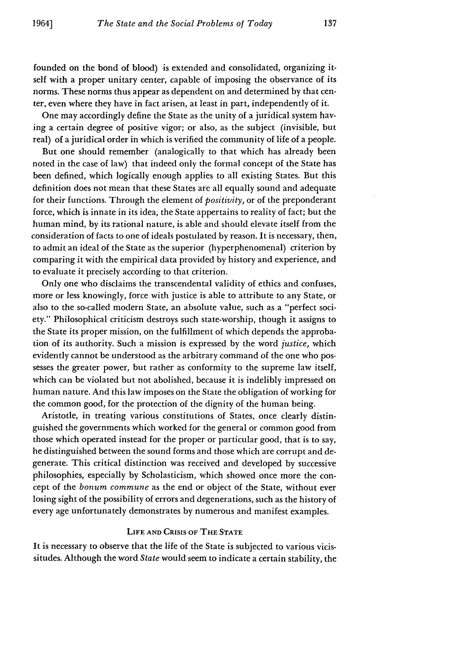founded on the bond of blood) is extended and consolidated, organizing itself with a proper unitary center, capable of imposing the observance of its norms. These norms thus appear as dependent on and determined by that center, even where they have in fact arisen, at least in part, independently of it.

One may accordingly define the State as the unity of a juridical system having a certain degree of positive vigor; or also, as the subject (invisible, but real) of a juridical order in which is verified the community of life of a people.

But one should remember (analogically to that which has already been noted in the case of law) that indeed only the formal concept of the State has been defined, which logically enough applies to all existing States. But this definition does not mean that these States are all equally sound and adequate for their functions. Through the element of *positivity,* or of the preponderant force, which is innate in its idea, the State appertains to reality of fact; but the human mind, by its rational nature, is able and should elevate itself from the consideration of facts to one of ideals postulated by reason. It is necessary, then, to admit an ideal of the State as the superior (hyperphenomenal) criterion by comparing it with the empirical data provided by history and experience, and to evaluate it precisely according to that criterion.

Only one who disclaims the transcendental validity of ethics and confuses, more or less knowingly, force with justice is able to attribute to any State, or also to the so-called modern State, an absolute value, such as a "perfect society." Philosophical criticism destroys such state-worship, though it assigns to the State its proper mission, on the fulfillment of which depends the approbation of its authority. Such a mission is expressed by the word *justice,* which evidently cannot be understood as the arbitrary command of the one who possesses the greater power, but rather as conformity to the supreme law itself, which can be violated but not abolished, because it is indelibly impressed on human nature. And this law imposes on the State the obligation of working for the common good, for the protection of the dignity of the human being.

Aristotle, in treating various constitutions of States, once clearly distinguished the governments which worked for the general or common good from those which operated instead for the proper or particular good, that is to say, he distinguished between the sound forms and those which are corrupt and degenerate. This critical distinction was received and developed by successive philosophies, especially by Scholasticism, which showed once more the concept of the *bonum commune* as the end or object of the State, without ever losing sight of the possibility of errors and degenerations, such as the history of every age unfortunately demonstrates by numerous and manifest examples.

### **LIFE AND CRISIS OF THE STATE**

It is necessary to observe that the life of the State is subjected to various vicissitudes. Although the word *State* would seem to indicate a certain stability, the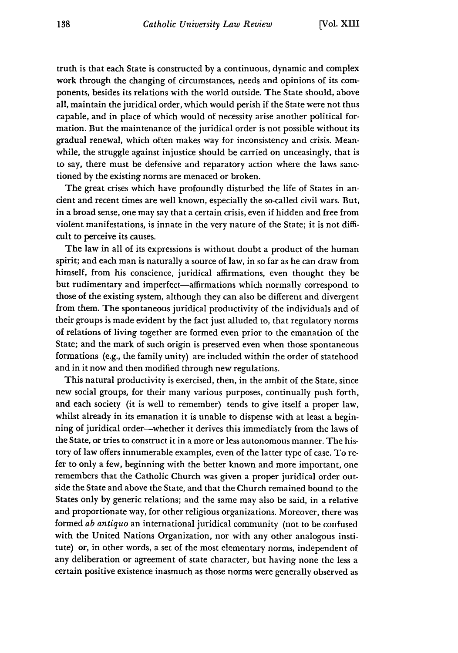truth is that each State is constructed by a continuous, dynamic and complex work through the changing of circumstances, needs and opinions of its components, besides its relations with the world outside. The State should, above all, maintain the juridical order, which would perish if the State were not thus capable, and in place of which would of necessity arise another political formation. But the maintenance of the juridical order is not possible without its gradual renewal, which often makes way for inconsistency and crisis. Meanwhile, the struggle against injustice should be carried on unceasingly, that is to say, there must be defensive and reparatory action where the laws sanctioned by the existing norms are menaced or broken.

The great crises which have profoundly disturbed the life of States in an... cient and recent times are well known, especially the so-called civil wars. But, in a broad sense, one may say that a certain crisis, even if hidden and free from violent manifestations, is innate in the very nature of the State; it is not difficult to perceive its causes.

The law in all of its expressions is without doubt a product of the human spirit; and each man is naturally a source of law, in so far as he can draw from himself, from his conscience, juridical affirmations, even thought they be but rudimentary and imperfect—affirmations which normally correspond to those of the existing system, although they can also be different and divergent from them. The spontaneous juridical productivity of the individuals and of their groups is made evident by the fact just alluded to, that regulatory norms of relations of living together are formed even prior to the emanation of the State; and the mark of such origin is preserved even when those spontaneous formations (e.g., the family unity) are included within the order of statehood and in it now and then modified through new regulations.

This natural productivity is exercised, then, in the ambit of the State, since new social groups, for their many various purposes, continually push forth, and each society (it is well to remember) tends to give itself a proper law, whilst already in its emanation it is unable to dispense with at least a beginning of juridical order-whether it derives this immediately from the laws of the State, or tries to construct it in a more or less autonomous manner. The history of law offers innumerable examples, even of the latter type of case. To refer to only a few, beginning with the better known and more important, one remembers that the Catholic Church was given a proper juridical order outside the State and above the State, and that the Church remained bound to the States only by generic relations; and the same may also be said, in a relative and proportionate way, for other religious organizations. Moreover, there was formed *ab antiquo* an international juridical community (not to be confused with the United Nations Organization, nor with any other analogous institute) or, in other words, a set of the most elementary norms, independent of any deliberation or agreement of state character, but having none the less a certain positive existence inasmuch as those norms were generally observed as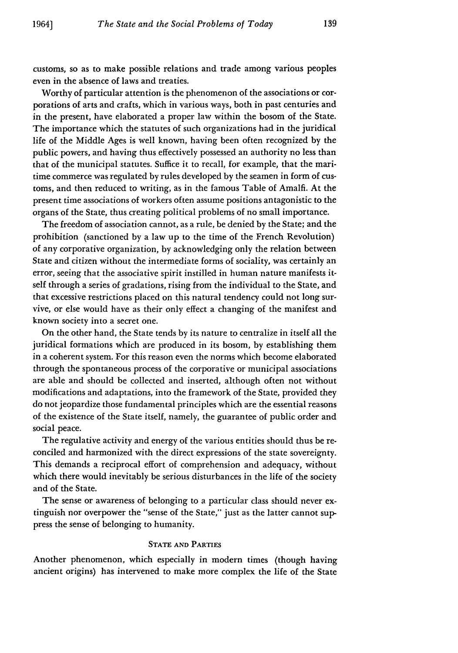customs, so as to make possible relations and trade among various peoples even in the absence of laws and treaties.

Worthy of particular attention is the phenomenon of the associations or corporations of arts and crafts, which in various ways, both in past centuries and in the present, have elaborated a proper law within the bosom of the State. The importance which the statutes of such organizations had in the juridical life of the Middle Ages is well known, having been often recognized by the public powers, and having thus effectively possessed an authority no less than that of the municipal statutes. Suffice it to recall, for example, that the maritime commerce was regulated by rules developed by the seamen in form of customs, and then reduced to writing, as in the famous Table of Amalfi. At the present time associations of workers often assume positions antagonistic to the organs of the State, thus creating political problems of no small importance.

The freedom of association cannot, as a rule, be denied by the State; and the prohibition (sanctioned by a law up to the time of the French Revolution) of any corporative organization, by acknowledging only the relation between State and citizen without the intermediate forms of sociality, was certainly an error, seeing that the associative spirit instilled in human nature manifests itself through a series of gradations, rising from the individual to the State, and that excessive restrictions placed on this natural tendency could not long survive, or else would have as their only effect a changing of the manifest and known society into a secret one.

On the other hand, the State tends by its nature to centralize in itself all the juridical formations which are produced in its bosom, by establishing them in a coherent system. For this reason even the norms which become elaborated through the spontaneous process of the corporative or municipal associations are able and should be collected and inserted, although often not without modifications and adaptations, into the framework of the State, provided they do not jeopardize those fundamental principles which are the essential reasons of the existence of the State itself, namely, the guarantee of public order and social peace.

The regulative activity and energy of the various entities should thus be reconciled and harmonized with the direct expressions of the state sovereignty. This demands a reciprocal effort of comprehension and adequacy, without which there would inevitably be serious disturbances in the life of the society and of the State.

The sense or awareness of belonging to a particular class should never extinguish nor overpower the "sense of the State," just as the latter cannot suppress the sense of belonging to humanity.

#### **STATE AND PARTIES**

Another phenomenon, which especially in modern times (though having ancient origins) has intervened to make more complex the life of the State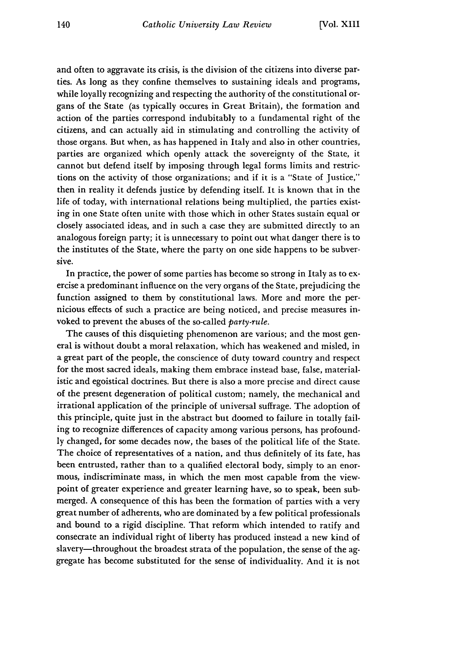and often to aggravate its crisis, is the division of the citizens into diverse parties. As long as they confine themselves to sustaining ideals and programs, while loyally recognizing and respecting the authority of the constitutional organs of the State (as typically occures in Great Britain), the formation and action of the parties correspond indubitably to a fundamental right of the citizens, and can actually aid in stimulating and controlling the activity of those organs. But when, as has happened in Italy and also in other countries, parties are organized which openly attack the sovereignty of the State, it cannot but defend itself by imposing through legal forms limits and restrictions on the activity of those organizations; and if it is a "State of Justice," then in reality it defends justice by defending itself. It is known that in the life of today, with international relations being multiplied, the parties existing in one State often unite with those which in other States sustain equal or closely associated ideas, and in such a case they are submitted directly to an analogous foreign party; it is unnecessary to point out what danger there is to the institutes of the State, where the party on one side happens to be subversive.

In practice, the power of some parties has become so strong in Italy as to exercise a predominant influence on the very organs of the State, prejudicing the function assigned to them by constitutional laws. More and more the pernicious effects of such a practice are being noticed, and precise measures invoked to prevent the abuses of the so-called *party-rule.*

The causes of this disquieting phenomenon are various; and the most general is without doubt a moral relaxation, which has weakened and misled, in a great part of the people, the conscience of duty toward country and respect for the most sacred ideals, making them embrace instead base, false, materialistic and egoistical doctrines. But there is also a more precise and direct cause of the present degeneration of political custom; namely, the mechanical and irrational application of the principle of universal suffrage. The adoption of this principle, quite just in the abstract but doomed to failure in totally failing to recognize differences of capacity among various persons, has profoundly changed, for some decades now, the bases of the political life of the State. The choice of representatives of a nation, and thus definitely of its fate, has been entrusted, rather than to a qualified electoral body, simply to an enormous, indiscriminate mass, in which the men most capable from the viewpoint of greater experience and greater learning have, so to speak, been submerged. A consequence of this has been the formation of parties with a very great number of adherents, who are dominated by a few political professionals and bound to a rigid discipline. That reform which intended to ratify and consecrate an individual right of liberty has produced instead a new kind of slavery—throughout the broadest strata of the population, the sense of the aggregate has become substituted for the sense of individuality. And it is not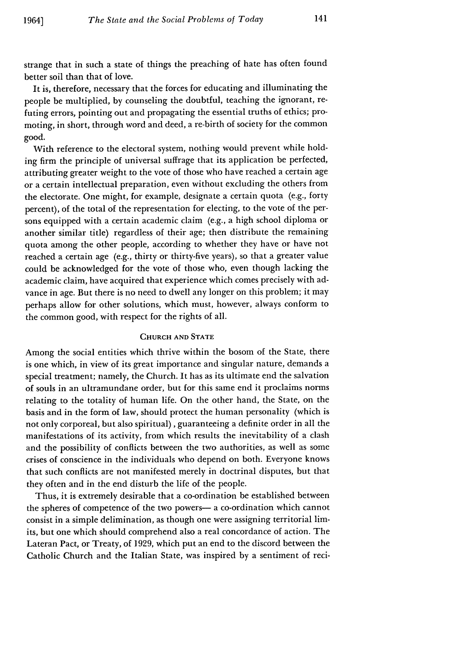strange that in such a state of things the preaching of hate has often found better soil than that of love.

It is, therefore, necessary that the forces for educating and illuminating the people be multiplied, by counseling the doubtful, teaching the ignorant, refuting errors, pointing out and propagating the essential truths of ethics; promoting, in short, through word and deed, a re-birth of society for the common good.

With reference to the electoral system, nothing would prevent while holding firm the principle of universal suffrage that its application be perfected, attributing greater weight to the vote of those who have reached a certain age or a certain intellectual preparation, even without excluding the others from the electorate. One might, for example, designate a certain quota (e.g., forty percent), of the total of the representation for electing, to the vote of the persons equipped with a certain academic claim (e.g., a high school diploma or another similar title) regardless of their age; then distribute the remaining quota among the other people, according to whether they have or have not reached a certain age (e.g., thirty or thirty-five years), so that a greater value could be acknowledged for the vote of those who, even though lacking the academic claim, have acquired that experience which comes precisely with advance in age. But there is no need to dwell any longer on this problem; it may perhaps allow for other solutions, which must, however, always conform to the common good, with respect for the rights of all.

## **CHURCH AND STATE**

Among the social entities which thrive within the bosom of the State, there is one which, in view of its great importance and singular nature, demands a special treatment; namely, the Church. It has as its ultimate end the salvation of souls in an ultramundane order, but for this same end it proclaims norms relating to the totality of human life. On the other hand, the State, on the basis and in the form of law, should protect the human personality (which is not only corporeal, but also spiritual) , guaranteeing a definite order in all the manifestations of its activity, from which results the inevitability of a clash and the possibility of conflicts between the two authorities, as well as some crises of conscience in the individuals who depend on both. Everyone knows that such conflicts are not manifested merely in doctrinal disputes, but that they often and in the end disturb the life of the people.

Thus, it is extremely desirable that a co-ordination be established between the spheres of competence of the two powers- a co-ordination which cannot consist in a simple delimination, as though one were assigning territorial limits, but one which should comprehend also a real concordance of action. The Lateran Pact, or Treaty, of 1929, which put an end to the discord between the Catholic Church and the Italian State, was inspired by a sentiment of reci-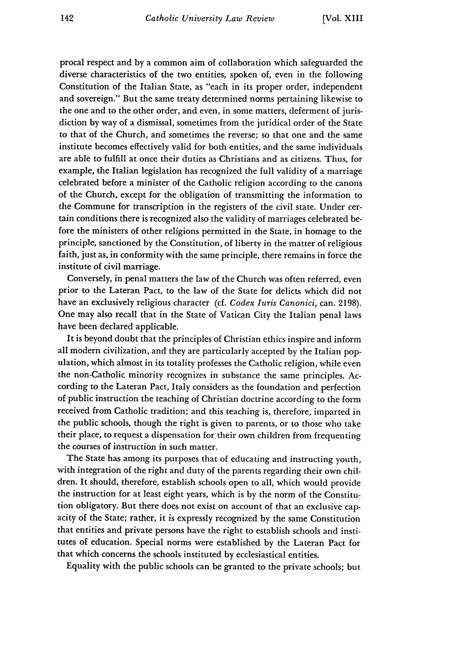procal respect and by a common aim of collaboration which safeguarded the diverse characteristics of the two entities, spoken of, even in the following Constitution of the Italian State, as "each in its proper order, independent and sovereign." But the same treaty determined norms pertaining likewise to the one and to the other order, and even, in some matters, deferment of jurisdiction by way of a dismissal, sometimes from the juridical order of the State to that of the Church, and sometimes the reverse; so that one and the same institute becomes effectively valid for both entities, and the same individuals are able to fulfill at once their duties as Christians and as citizens. Thus, for example, the Italian legislation has recognized the full validity of a marriage celebrated before a minister of the Catholic religion according to the canons of the Church, except for the obligation of transmitting the information to the Commune for transcription in the registers of the civil state. Under certain conditions there is recognized also the validity of marriages celebrated before the ministers of other religions permitted in the State, in homage to the principle, sanctioned by the Constitution, of liberty in the matter of religious faith, just as, in conformity with the same principle, there remains in force the institute of civil marriage.

Conversely, in penal matters the law of the Church was often referred, even prior to the Lateran Pact, to the law of the State for delicts which did not have an exclusively religious character (cf. *Codex Iuris Canonici,* can. 2198). One may also recall that in the State of Vatican City the Italian penal laws have been declared applicable.

It is beyond doubt that the principles of Christian ethics inspire and inform all modern civilization, and they are particularly accepted by the Italian population, which almost in its totality professes the Catholic religion, while even the non-Catholic minority recognizes in substance the same principles. According to the Lateran Pact, Italy considers as the foundation and perfection of public instruction the teaching of Christian doctrine according to the form received from Catholic tradition; and this teaching is, therefore, imparted in the public schools, though the right is given to parents, or to those who take their place, to request a dispensation for their own children from frequenting the courses of instruction in such matter.

The State has among its purposes that of educating and instructing youth, with integration of the right and duty of the parents regarding their own children. It should, therefore, establish schools open to all, which would provide the instruction for at least eight years, which is by the norm of the Constitution obligatory. But there does not exist on account of that an exclusive capacity of the State; rather, it is expressly recognized by the same Constitution that entities and private persons have the right to establish schools and institutes of education. Special norms were established by the Lateran Pact for that which concerns the schools instituted by ecclesiastical entities.

Equality with the public schools can be granted to the private schools; but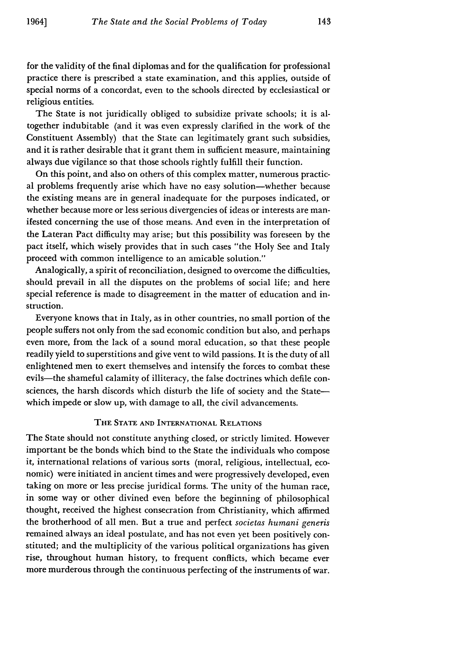for the validity of the final diplomas and for the qualification for professional practice there is prescribed a state examination, and this applies, outside of special norms of a concordat, even to the schools directed by ecclesiastical or religious entities.

The State is not juridically obliged to subsidize private schools; it is altogether indubitable (and it was even expressly clarified in the work of the Constituent Assembly) that the State can legitimately grant such subsidies, and it is rather desirable that it grant them in sufficient measure, maintaining always due vigilance so that those schools rightly fulfill their function.

On this point, and also on others of this complex matter, numerous practical problems frequently arise which have no easy solution-whether because the existing means are in general inadequate for the purposes indicated, or whether because more or less serious divergencies of ideas or interests are manifested concerning the use of those means. And even in the interpretation of the Lateran Pact difficulty may arise; but this possibility was foreseen by the pact itself, which wisely provides that in such cases "the Holy See and Italy proceed with common intelligence to an amicable solution."

Analogically, a spirit of reconciliation, designed to overcome the difficulties, should prevail in all the disputes on the problems of social life; and here special reference is made to disagreement in the matter of education and instruction.

Everyone knows that in Italy, as in other countries, no small portion of the people suffers not only from the sad economic condition but also, and perhaps even more, from the lack of a sound moral education, so that these people readily yield to superstitions and give vent to wild passions. It is the duty of all enlightened men to exert themselves and intensify the forces to combat these evils—the shameful calamity of illiteracy, the false doctrines which defile consciences, the harsh discords which disturb the life of society and the Statewhich impede or slow up, with damage to all, the civil advancements.

#### THE **STATE AND** INTERNATIONAL **RELATIONS**

The State should not constitute anything closed, or strictly limited. However important be the bonds which bind to the State the individuals who compose it, international relations of various sorts (moral, religious, intellectual, economic) were initiated in ancient times and were progressively developed, even taking on more or less precise juridical forms. The unity of the human race, in some way or other divined even before the beginning of philosophical thought, received the highest consecration from Christianity, which affirmed the brotherhood of all men. But a true and perfect *societas humani generis* remained always an ideal postulate, and has not even yet been positively constituted; and the multiplicity of the various political organizations has given rise, throughout human history, to frequent conflicts, which became ever more murderous through the continuous perfecting of the instruments of war.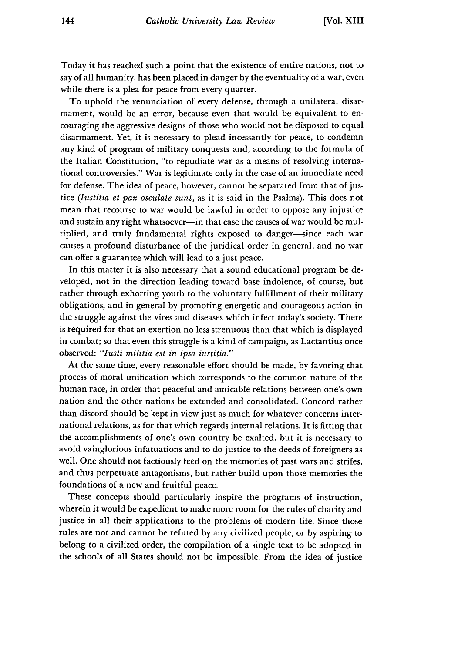Today it has reached such a point that the existence of entire nations, not to say of all humanity, has been placed in danger by the eventuality of a war, even while there is a plea for peace from every quarter.

To uphold the renunciation of every defense, through a unilateral disarmament, would be an error, because even that would be equivalent to encouraging the aggressive designs of those who would not be disposed to equal disarmament. Yet, it is necessary to plead incessantly for peace, to condemn any kind of program of military conquests and, according to the formula of the Italian Constitution, "to repudiate war as a means of resolving international controversies." War is legitimate only in the case of an immediate need for defense. The idea of peace, however, cannot be separated from that of justice *(lustitia et pax osculate sunt,* as it is said in the Psalms). This does not mean that recourse to war would be lawful in order to oppose any injustice and sustain any right whatsoever--in that case the causes of war would be multiplied, and truly fundamental rights exposed to danger-since each war causes a profound disturbance of the juridical order in general, and no war can offer a guarantee which will lead to a just peace.

In this matter it is also necessary that a sound educational program be developed, not in the direction leading toward base indolence, of course, but rather through exhorting youth to the voluntary fulfillment of their military obligations, and in general by promoting energetic and courageous action in the struggle against the vices and diseases which infect today's society. There is required for that an exertion no less strenuous than that which is displayed in combat; so that even this struggle is a kind of campaign, as Lactantius once observed: *"Iusti militia est in ipsa iustitia."*

At the same time, every reasonable effort should be made, by favoring that process of moral unification which corresponds to the common nature of the human race, in order that peaceful and amicable relations between one's own nation and the other nations be extended and consolidated. Concord rather than discord should be kept in view just as much for whatever concerns international relations, as for that which regards internal relations. It is fitting that the accomplishments of one's own country be exalted, but it is necessary to avoid vainglorious infatuations and to do justice to the deeds of foreigners as well. One should not factiously feed on the memories of past wars and strifes, and thus perpetuate antagonisms, but rather build upon those memories the foundations of a new and fruitful peace.

These concepts should particularly inspire the programs of instruction, wherein it would be expedient to make more room for the rules of charity and justice in all their applications to the problems of modern life. Since those rules are not and cannot be refuted by any civilized people, or by aspiring to belong to a civilized order, the compilation of a single text to be adopted in the schools of all States should not be impossible. From the idea of justice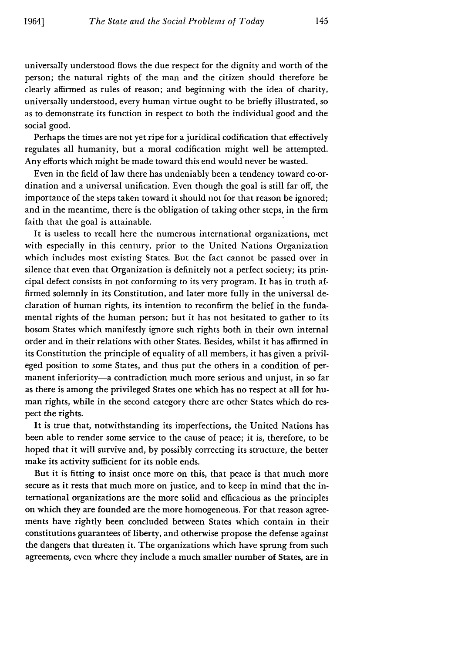universally understood flows the due respect for the dignity and worth of the person; the natural rights of the man and the citizen should therefore be clearly affirmed as rules of reason; and beginning with the idea of charity, universally understood, every human virtue ought to be briefly illustrated, so as to demonstrate its function in respect to both the individual good and the social good.

Perhaps the times are not yet ripe for a juridical codification that effectively regulates all humanity, but a moral codification might well be attempted. Any efforts which might be made toward this end would never be wasted.

Even in the field of law there has undeniably been a tendency toward co-ordination and a universal unification. Even though the goal is still far off, the importance of the steps taken toward it should not for that reason be ignored; and in the meantime, there is the obligation of taking other steps, in the firm faith that the goal is attainable.

It is useless to recall here the numerous international organizations, met with especially in this century, prior to the United Nations Organization which includes most existing States. But the fact cannot be passed over in silence that even that Organization is definitely not a perfect society; its principal defect consists in not conforming to its very program. It has in truth affirmed solemnly in its Constitution, and later more fully in the universal declaration of human rights, its intention to reconfirm the belief in the fundamental rights of the human person; but it has not hesitated to gather to its bosom States which manifestly ignore such rights both in their own internal order and in their relations with other States. Besides, whilst it has affirmed in its Constitution the principle of equality of all members, it has given a privileged position to some States, and thus put the others in a condition of permanent inferiority-a contradiction much more serious and unjust, in so far as there is among the privileged States one which has no respect at all for human rights, while in the second category there are other States which do respect the rights.

It is true that, notwithstanding its imperfections, the United Nations has been able to render some service to the cause of peace; it is, therefore, to be hoped that it will survive and, by possibly correcting its structure, the better make its activity sufficient for its noble ends.

But it is fitting to insist once more on this, that peace is that much more secure as it rests that much more on justice, and to keep in mind that the international organizations are the more solid and efficacious as the principles on which they are founded are the more homogeneous. For that reason agreements have rightly been concluded between States which contain in their constitutions guarantees of liberty, and otherwise propose the defense against the dangers that threaten it. The organizations which have sprung from such agreements, even where they include a much smaller number of States, are in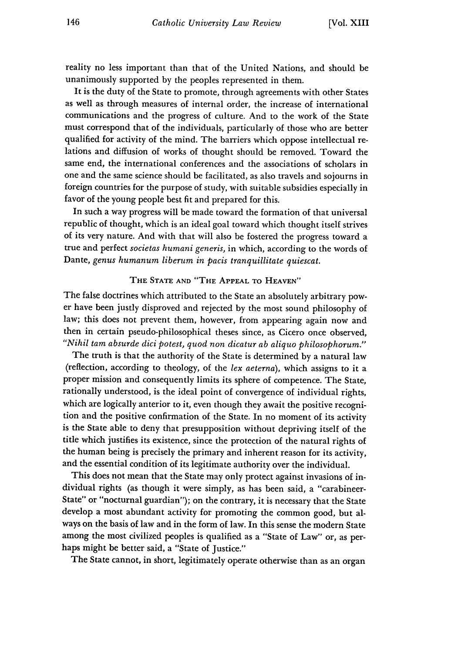reality no less important than that of the United Nations, and should be unanimously supported by the peoples represented in them.

It is the duty of the State to promote, through agreements with other States as well as through measures of internal order, the increase of international communications and the progress of culture. And to the work of the State must correspond that of the individuals, particularly of those who are better qualified for activity of the mind. The barriers which oppose intellectual relations and diffusion of works of thought should be removed. Toward the same end, the international conferences and the associations of scholars in one and the same science should be facilitated, as also travels and sojourns in foreign countries for the purpose of study, with suitable subsidies especially in favor of the young people best fit and prepared for this.

In such a way progress will be made toward the formation of that universal republic of thought, which is an ideal goal toward which thought itself strives of its very nature. And with that will also be fostered the progress toward a true and perfect *societas humani generis,* in which, according to the words of Dante, *genus humanum liberum in pacis tranquillitate quiescat.*

## THE **STATE AND** "THE **APPEAL** TO **HEAVEN"**

The false doctrines which attributed to the State an absolutely arbitrary power have been justly disproved and rejected by the most sound philosophy of law; this does not prevent them, however, from appearing again now and then in certain pseudo-philosophical theses since, as Cicero once observed, *"Nihil tam absurde dici potest, quod non dicatur ab aliquo philosophorum."*

The truth is that the authority of the State is determined by a natural law (reflection, according to theology, of the *lex aeterna),* which assigns to it a proper mission and consequently limits its sphere of competence. The State, rationally understood, is the ideal point of convergence of individual rights, which are logically anterior to it, even though they await the positive recognition and the positive confirmation of the State. In no moment of its activity is the State able to deny that presupposition without depriving itself of the title which justifies its existence, since the protection of the natural rights of the human being is precisely the primary and inherent reason for its activity, and the essential condition of its legitimate authority over the individual.

This does not mean that the State may only protect against invasions of individual rights (as though it were simply, as has been said, a "carabineer-State" or "nocturnal guardian"); on the contrary, it is necessary that the State develop a most abundant activity for promoting the common good, but always on the basis of law and in the form of law. In this sense the modern State among the most civilized peoples is qualified as a "State of Law" or, as perhaps might be better said, a "State of Justice."

The State cannot, in short, legitimately operate otherwise than as an organ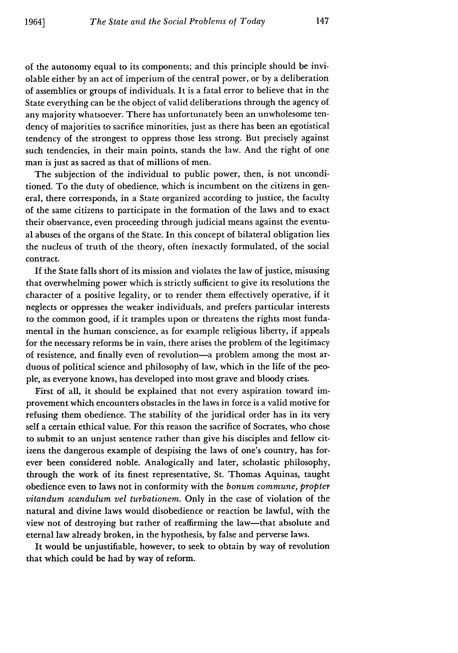of the autonomy equal to its components; and this principle should be inviolable either by an act of imperium of the central power, or by a deliberation of assemblies or groups of individuals. It is a fatal error to believe that in the State everything can be the object of valid deliberations through the agency of any majority whatsoever. There has unfortunately been an unwholesome tendency of majorities to sacrifice minorities, just as there has been an egotistical tendency of the strongest to oppress those less strong. But precisely against such tendencies, in their main points, stands the law. And the right of one man is just as sacred as that of millions of men.

The subjection of the individual to public power, then, is not unconditioned. To the duty of obedience, which is incumbent on the citizens in general, there corresponds, in a State organized according to justice, the faculty of the same citizens to participate in the formation of the laws and to exact their observance, even proceeding through judicial means against the eventual abuses of the organs of the State. In this concept of bilateral obligation lies the nucleus of truth of the theory, often inexactly formulated, of the social contract.

If the State falls short of its mission and violates the law of justice, misusing that overwhelming power which is strictly sufficient to give its resolutions the character of a positive legality, or to render them effectively operative, if it neglects or oppresses the weaker individuals, and prefers particular interests to the common good, if it tramples upon or threatens the rights most fundamental in the human conscience, as for example religious liberty, if appeals for the necessary reforms be in vain, there arises the problem of the legitimacy of resistence, and finally even of revolution-a problem among the most arduous of political science and philosophy of law, which in the life of the people, as everyone knows, has developed into most grave and bloody crises.

First of all, it should be explained that not every aspiration toward improvement which encounters obstacles in the laws in force is a valid motive for refusing them obedience. The stability of the juridical order has in its very self a certain ethical value. For this reason the sacrifice of Socrates, who chose to submit to an unjust sentence rather than give his disciples and fellow citizens the dangerous example of despising the laws of one's country, has forever been considered noble. Analogically and later, scholastic philosophy, through the work of its finest representative, St. Thomas Aquinas, taught obedience even to laws not in conformity with the *bonum commune, propter vitandum scandulum vel turbationem.* Only in the case of violation of the natural and divine laws would disobedience or reaction be lawful, with the view not of destroying but rather of reaffirming the law-that absolute and eternal law already broken, in the hypothesis, by false and perverse laws.

It would be unjustifiable, however, to seek to obtain by way of revolution that which could be had by way of reform.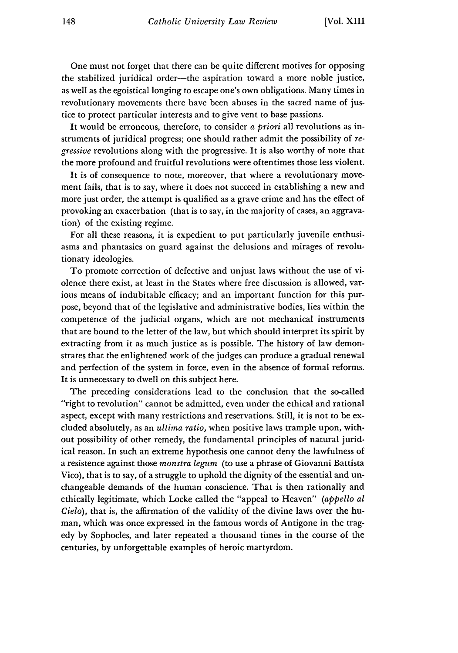One must not forget that there can be quite different motives for opposing the stabilized juridical order--the aspiration toward a more noble justice, as well as the egoistical longing to escape one's own obligations. Many times in revolutionary movements there have been abuses in the sacred name of justice to protect particular interests and to give vent to base passions.

It would be erroneous, therefore, to consider *a priori* all revolutions as instruments of juridical progress; one should rather admit the possibility of *regressive* revolutions along with the progressive. It is also worthy of note that the more profound and fruitful revolutions were oftentimes those less violent.

It is of consequence to note, moreover, that where a revolutionary movement fails, that is to say, where it does not succeed in establishing a new and more just order, the attempt is qualified as a grave crime and has the effect of provoking an exacerbation (that is to say, in the majority of cases, an aggravation) of the existing regime.

For all these reasons, it is expedient to put particularly juvenile enthusiasms and phantasies on guard against the delusions and mirages of revolutionary ideologies.

To promote correction of defective and unjust laws without the use of violence there exist, at least in the States where free discussion is allowed, various means of indubitable efficacy; and an important function for this purpose, beyond that of the legislative and administrative bodies, lies within the competence of the judicial organs, which are not mechanical instruments that are bound to the letter of the law, but which should interpret its spirit by extracting from it as much justice as is possible. The history of law demonstrates that the enlightened work of the judges can produce a gradual renewal and perfection of the system in force, even in the absence of formal reforms. It is unnecessary to dwell on this subject here.

The preceding considerations lead to the conclusion that the so-called "right to revolution" cannot be admitted, even under the ethical and rational aspect, except with many restrictions and reservations. Still, it is not to be excluded absolutely, as an *ultima ratio,* when positive laws trample upon, without possibility of other remedy, the fundamental principles of natural juridical reason. In such an extreme hypothesis one cannot deny the lawfulness of a resistence against those *monstra legum* (to use a phrase of Giovanni Battista Vico), that is to say, of a struggle to uphold the dignity of the essential and unchangeable demands of the human conscience. That is then rationally and ethically legitimate, which Locke called the "appeal to Heaven" *(appello al Cielo),* that is, the affirmation of the validity of the divine laws over the human, which was once expressed in the famous words of Antigone in the tragedy by Sophocles, and later repeated a thousand times in the course of the centuries, by unforgettable examples of heroic martyrdom.